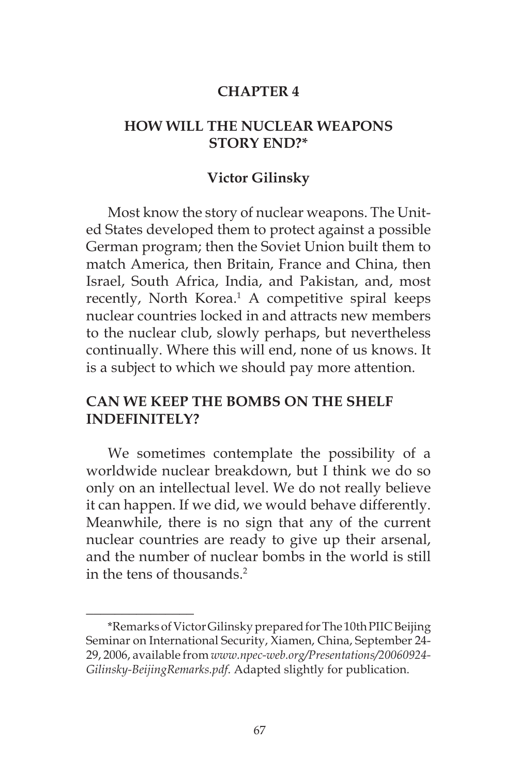#### **CHAPTER 4**

### **HOW WILL THE NUCLEAR WEAPONS STORY END?\***

#### **Victor Gilinsky**

Most know the story of nuclear weapons. The United States developed them to protect against a possible German program; then the Soviet Union built them to match America, then Britain, France and China, then Israel, South Africa, India, and Pakistan, and, most recently, North Korea.<sup>1</sup> A competitive spiral keeps nuclear countries locked in and attracts new members to the nuclear club, slowly perhaps, but nevertheless continually. Where this will end, none of us knows. It is a subject to which we should pay more attention.

## **CAN WE KEEP THE BOMBS ON THE SHELF INDEFINITELY?**

We sometimes contemplate the possibility of a worldwide nuclear breakdown, but I think we do so only on an intellectual level. We do not really believe it can happen. If we did, we would behave differently. Meanwhile, there is no sign that any of the current nuclear countries are ready to give up their arsenal, and the number of nuclear bombs in the world is still in the tens of thousands.2

 $\frac{1}{2}$ 

<sup>\*</sup>Remarks of Victor Gilinsky prepared for The 10th PIIC Beijing Seminar on International Security, Xiamen, China, September 24- 29, 2006, available from *www.npec-web.org/Presentations/20060924- Gilinsky-BeijingRemarks.pdf*. Adapted slightly for publication.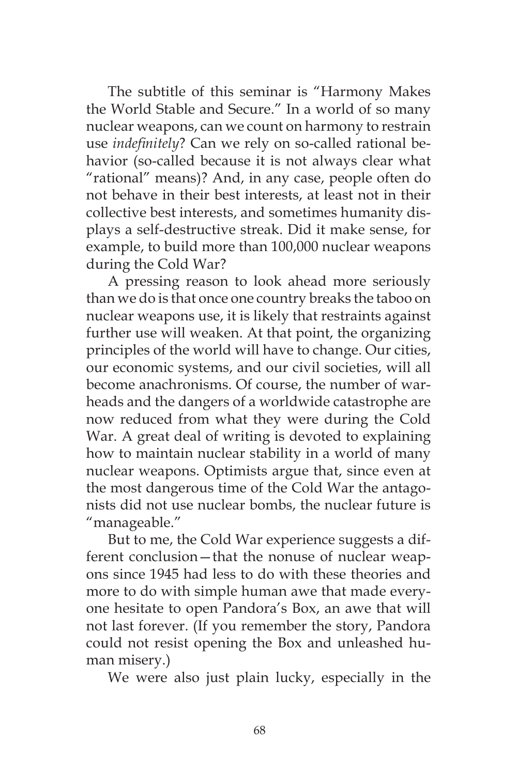The subtitle of this seminar is "Harmony Makes the World Stable and Secure." In a world of so many nuclear weapons, can we count on harmony to restrain use *indefinitely*? Can we rely on so-called rational behavior (so-called because it is not always clear what "rational" means)? And, in any case, people often do not behave in their best interests, at least not in their collective best interests, and sometimes humanity displays a self-destructive streak. Did it make sense, for example, to build more than 100,000 nuclear weapons during the Cold War?

A pressing reason to look ahead more seriously than we do is that once one country breaks the taboo on nuclear weapons use, it is likely that restraints against further use will weaken. At that point, the organizing principles of the world will have to change. Our cities, our economic systems, and our civil societies, will all become anachronisms. Of course, the number of warheads and the dangers of a worldwide catastrophe are now reduced from what they were during the Cold War. A great deal of writing is devoted to explaining how to maintain nuclear stability in a world of many nuclear weapons. Optimists argue that, since even at the most dangerous time of the Cold War the antagonists did not use nuclear bombs, the nuclear future is "manageable."

But to me, the Cold War experience suggests a different conclusion—that the nonuse of nuclear weapons since 1945 had less to do with these theories and more to do with simple human awe that made everyone hesitate to open Pandora's Box, an awe that will not last forever. (If you remember the story, Pandora could not resist opening the Box and unleashed human misery.)

We were also just plain lucky, especially in the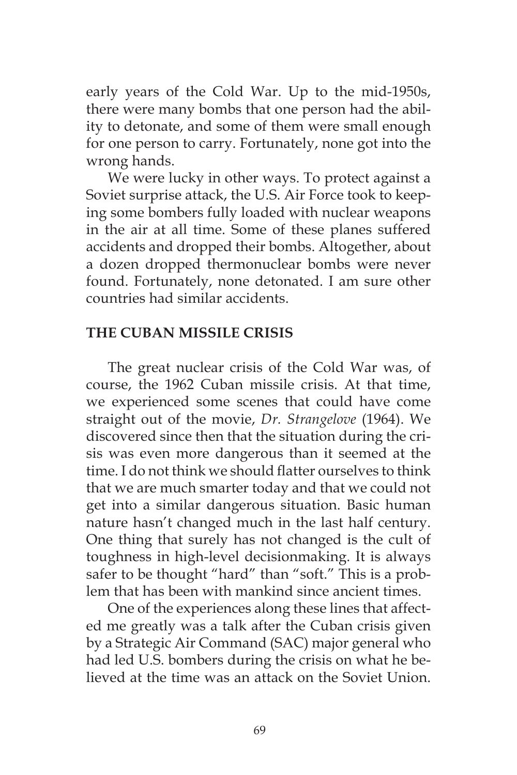early years of the Cold War. Up to the mid-1950s, there were many bombs that one person had the ability to detonate, and some of them were small enough for one person to carry. Fortunately, none got into the wrong hands.

We were lucky in other ways. To protect against a Soviet surprise attack, the U.S. Air Force took to keeping some bombers fully loaded with nuclear weapons in the air at all time. Some of these planes suffered accidents and dropped their bombs. Altogether, about a dozen dropped thermonuclear bombs were never found. Fortunately, none detonated. I am sure other countries had similar accidents.

## **THE CUBAN MISSILE CRISIS**

The great nuclear crisis of the Cold War was, of course, the 1962 Cuban missile crisis. At that time, we experienced some scenes that could have come straight out of the movie, *Dr. Strangelove* (1964). We discovered since then that the situation during the crisis was even more dangerous than it seemed at the time. I do not think we should flatter ourselves to think that we are much smarter today and that we could not get into a similar dangerous situation. Basic human nature hasn't changed much in the last half century. One thing that surely has not changed is the cult of toughness in high-level decisionmaking. It is always safer to be thought "hard" than "soft." This is a problem that has been with mankind since ancient times.

One of the experiences along these lines that affected me greatly was a talk after the Cuban crisis given by a Strategic Air Command (SAC) major general who had led U.S. bombers during the crisis on what he believed at the time was an attack on the Soviet Union.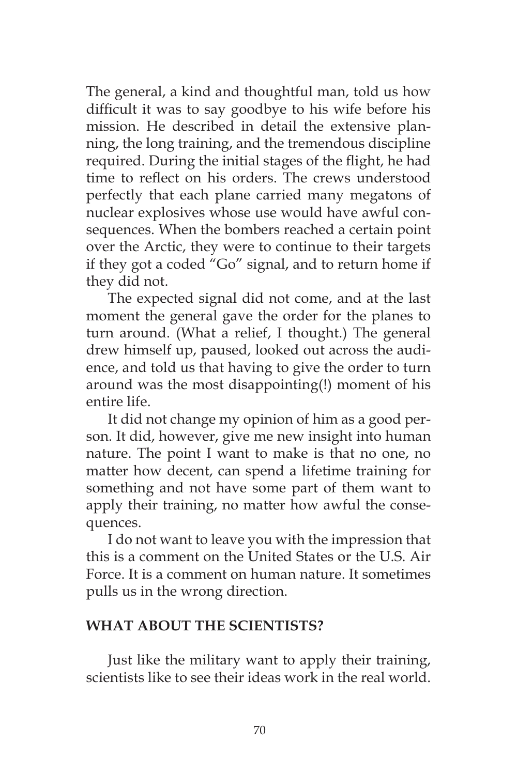The general, a kind and thoughtful man, told us how difficult it was to say goodbye to his wife before his mission. He described in detail the extensive planning, the long training, and the tremendous discipline required. During the initial stages of the flight, he had time to reflect on his orders. The crews understood perfectly that each plane carried many megatons of nuclear explosives whose use would have awful consequences. When the bombers reached a certain point over the Arctic, they were to continue to their targets if they got a coded "Go" signal, and to return home if they did not.

The expected signal did not come, and at the last moment the general gave the order for the planes to turn around. (What a relief, I thought.) The general drew himself up, paused, looked out across the audience, and told us that having to give the order to turn around was the most disappointing(!) moment of his entire life.

It did not change my opinion of him as a good person. It did, however, give me new insight into human nature. The point I want to make is that no one, no matter how decent, can spend a lifetime training for something and not have some part of them want to apply their training, no matter how awful the consequences.

I do not want to leave you with the impression that this is a comment on the United States or the U.S. Air Force. It is a comment on human nature. It sometimes pulls us in the wrong direction.

## **WHAT ABOUT THE SCIENTISTS?**

Just like the military want to apply their training, scientists like to see their ideas work in the real world.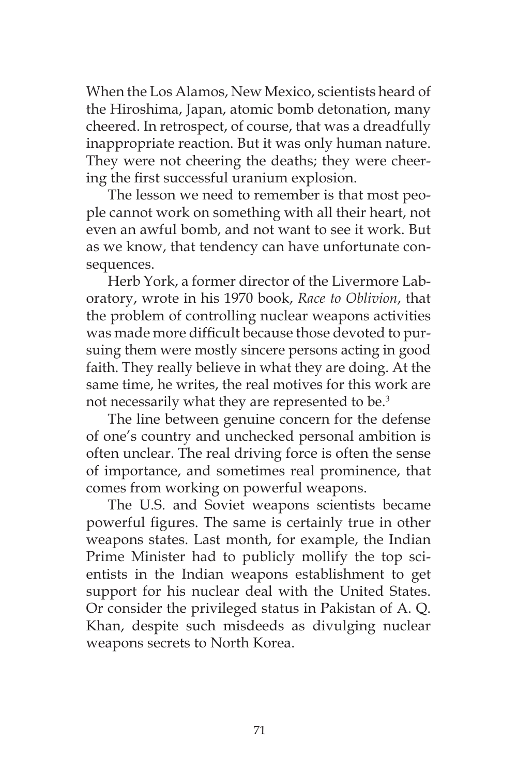When the Los Alamos, New Mexico, scientists heard of the Hiroshima, Japan, atomic bomb detonation, many cheered. In retrospect, of course, that was a dreadfully inappropriate reaction. But it was only human nature. They were not cheering the deaths; they were cheering the first successful uranium explosion.

The lesson we need to remember is that most people cannot work on something with all their heart, not even an awful bomb, and not want to see it work. But as we know, that tendency can have unfortunate consequences.

Herb York, a former director of the Livermore Laboratory, wrote in his 1970 book, *Race to Oblivion*, that the problem of controlling nuclear weapons activities was made more difficult because those devoted to pursuing them were mostly sincere persons acting in good faith. They really believe in what they are doing. At the same time, he writes, the real motives for this work are not necessarily what they are represented to be.3

The line between genuine concern for the defense of one's country and unchecked personal ambition is often unclear. The real driving force is often the sense of importance, and sometimes real prominence, that comes from working on powerful weapons.

The U.S. and Soviet weapons scientists became powerful figures. The same is certainly true in other weapons states. Last month, for example, the Indian Prime Minister had to publicly mollify the top scientists in the Indian weapons establishment to get support for his nuclear deal with the United States. Or consider the privileged status in Pakistan of A. Q. Khan, despite such misdeeds as divulging nuclear weapons secrets to North Korea.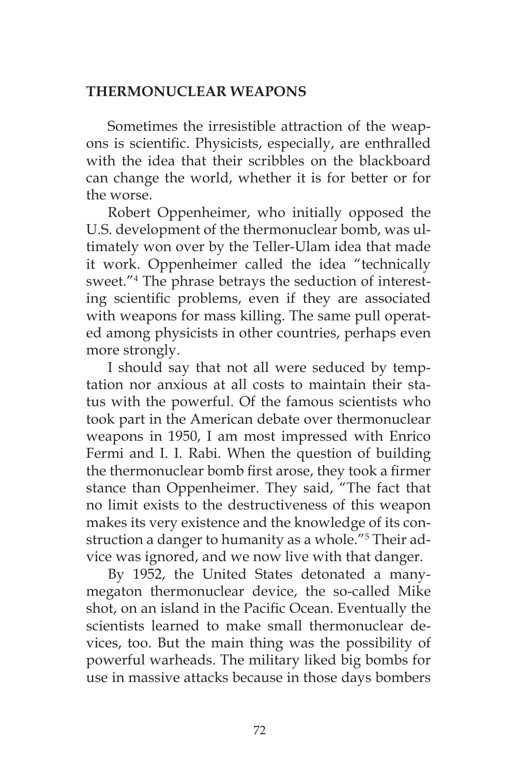## **THERMONUCLEAR WEAPONS**

Sometimes the irresistible attraction of the weapons is scientific. Physicists, especially, are enthralled with the idea that their scribbles on the blackboard can change the world, whether it is for better or for the worse.

Robert Oppenheimer, who initially opposed the U.S. development of the thermonuclear bomb, was ultimately won over by the Teller-Ulam idea that made it work. Oppenheimer called the idea "technically sweet."<sup>4</sup> The phrase betrays the seduction of interesting scientific problems, even if they are associated with weapons for mass killing. The same pull operated among physicists in other countries, perhaps even more strongly.

I should say that not all were seduced by temptation nor anxious at all costs to maintain their status with the powerful. Of the famous scientists who took part in the American debate over thermonuclear weapons in 1950, I am most impressed with Enrico Fermi and I. I. Rabi. When the question of building the thermonuclear bomb first arose, they took a firmer stance than Oppenheimer. They said, "The fact that no limit exists to the destructiveness of this weapon makes its very existence and the knowledge of its construction a danger to humanity as a whole."<sup>5</sup> Their advice was ignored, and we now live with that danger.

By 1952, the United States detonated a manymegaton thermonuclear device, the so-called Mike shot, on an island in the Pacific Ocean. Eventually the scientists learned to make small thermonuclear devices, too. But the main thing was the possibility of powerful warheads. The military liked big bombs for use in massive attacks because in those days bombers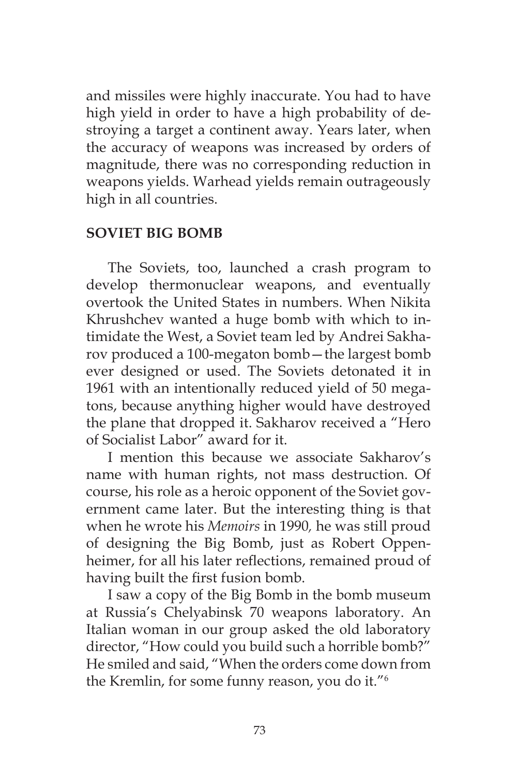and missiles were highly inaccurate. You had to have high yield in order to have a high probability of destroying a target a continent away. Years later, when the accuracy of weapons was increased by orders of magnitude, there was no corresponding reduction in weapons yields. Warhead yields remain outrageously high in all countries.

### **SOVIET BIG BOMB**

The Soviets, too, launched a crash program to develop thermonuclear weapons, and eventually overtook the United States in numbers. When Nikita Khrushchev wanted a huge bomb with which to intimidate the West, a Soviet team led by Andrei Sakharov produced a 100-megaton bomb—the largest bomb ever designed or used. The Soviets detonated it in 1961 with an intentionally reduced yield of 50 megatons, because anything higher would have destroyed the plane that dropped it. Sakharov received a "Hero of Socialist Labor" award for it.

I mention this because we associate Sakharov's name with human rights, not mass destruction. Of course, his role as a heroic opponent of the Soviet government came later. But the interesting thing is that when he wrote his *Memoirs* in 1990*,* he was still proud of designing the Big Bomb, just as Robert Oppenheimer, for all his later reflections, remained proud of having built the first fusion bomb.

I saw a copy of the Big Bomb in the bomb museum at Russia's Chelyabinsk 70 weapons laboratory. An Italian woman in our group asked the old laboratory director, "How could you build such a horrible bomb?" He smiled and said, "When the orders come down from the Kremlin, for some funny reason, you do it."6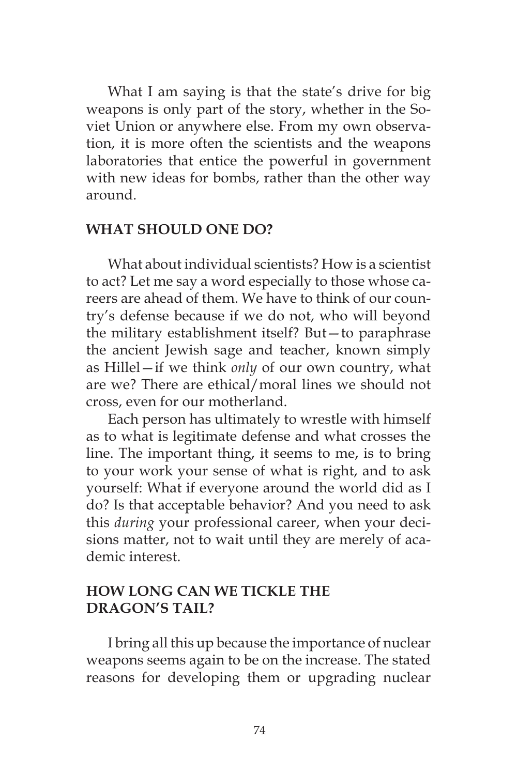What I am saying is that the state's drive for big weapons is only part of the story, whether in the Soviet Union or anywhere else. From my own observation, it is more often the scientists and the weapons laboratories that entice the powerful in government with new ideas for bombs, rather than the other way around.

#### **WHAT SHOULD ONE DO?**

What about individual scientists? How is a scientist to act? Let me say a word especially to those whose careers are ahead of them. We have to think of our country's defense because if we do not, who will beyond the military establishment itself? But—to paraphrase the ancient Jewish sage and teacher, known simply as Hillel—if we think *only* of our own country, what are we? There are ethical/moral lines we should not cross, even for our motherland.

Each person has ultimately to wrestle with himself as to what is legitimate defense and what crosses the line. The important thing, it seems to me, is to bring to your work your sense of what is right, and to ask yourself: What if everyone around the world did as I do? Is that acceptable behavior? And you need to ask this *during* your professional career, when your decisions matter, not to wait until they are merely of academic interest.

# **HOW LONG CAN WE TICKLE THE DRAGON'S TAIL?**

I bring all this up because the importance of nuclear weapons seems again to be on the increase. The stated reasons for developing them or upgrading nuclear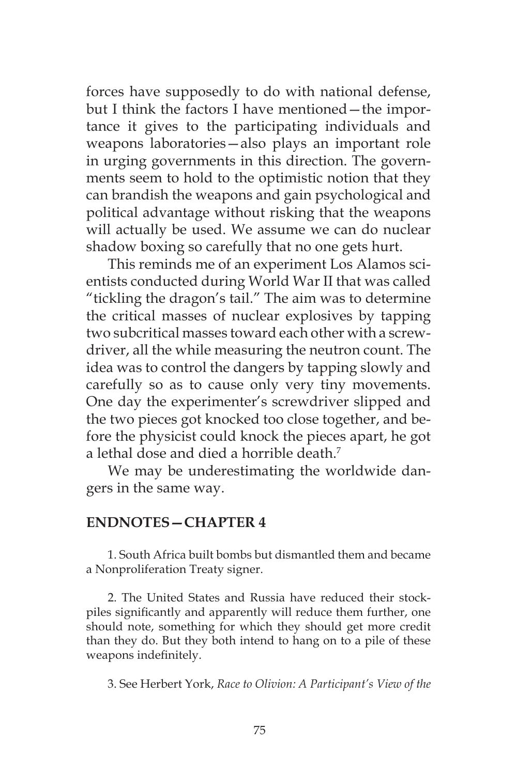forces have supposedly to do with national defense, but I think the factors I have mentioned—the importance it gives to the participating individuals and weapons laboratories—also plays an important role in urging governments in this direction. The governments seem to hold to the optimistic notion that they can brandish the weapons and gain psychological and political advantage without risking that the weapons will actually be used. We assume we can do nuclear shadow boxing so carefully that no one gets hurt.

This reminds me of an experiment Los Alamos scientists conducted during World War II that was called "tickling the dragon's tail." The aim was to determine the critical masses of nuclear explosives by tapping two subcritical masses toward each other with a screwdriver, all the while measuring the neutron count. The idea was to control the dangers by tapping slowly and carefully so as to cause only very tiny movements. One day the experimenter's screwdriver slipped and the two pieces got knocked too close together, and before the physicist could knock the pieces apart, he got a lethal dose and died a horrible death.<sup>7</sup>

We may be underestimating the worldwide dangers in the same way.

#### **ENDNOTES—CHAPTER 4**

1. South Africa built bombs but dismantled them and became a Nonproliferation Treaty signer.

2. The United States and Russia have reduced their stockpiles significantly and apparently will reduce them further, one should note, something for which they should get more credit than they do. But they both intend to hang on to a pile of these weapons indefinitely.

3. See Herbert York, *Race to Olivion: A Participant's View of the*